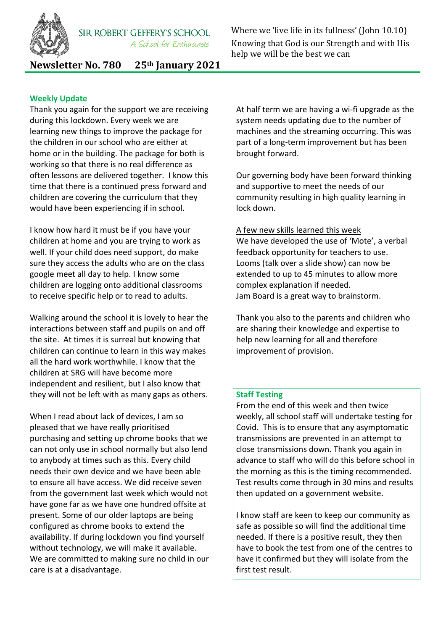

Where we 'live life in its fullness' (John 10.10) Knowing that God is our Strength and with His help we will be the best we can

**Newsletter No. 780 25th January 2021**

## **Weekly Update**

Thank you again for the support we are receiving during this lockdown. Every week we are learning new things to improve the package for the children in our school who are either at home or in the building. The package for both is working so that there is no real difference as often lessons are delivered together. I know this time that there is a continued press forward and children are covering the curriculum that they would have been experiencing if in school.

I know how hard it must be if you have your children at home and you are trying to work as well. If your child does need support, do make sure they access the adults who are on the class google meet all day to help. I know some children are logging onto additional classrooms to receive specific help or to read to adults.

Walking around the school it is lovely to hear the interactions between staff and pupils on and off the site. At times it is surreal but knowing that children can continue to learn in this way makes all the hard work worthwhile. I know that the children at SRG will have become more independent and resilient, but I also know that they will not be left with as many gaps as others.

When I read about lack of devices, I am so pleased that we have really prioritised purchasing and setting up chrome books that we can not only use in school normally but also lend to anybody at times such as this. Every child needs their own device and we have been able to ensure all have access. We did receive seven from the government last week which would not have gone far as we have one hundred offsite at present. Some of our older laptops are being configured as chrome books to extend the availability. If during lockdown you find yourself without technology, we will make it available. We are committed to making sure no child in our care is at a disadvantage.

At half term we are having a wi-fi upgrade as the system needs updating due to the number of machines and the streaming occurring. This was part of a long-term improvement but has been brought forward.

Our governing body have been forward thinking and supportive to meet the needs of our community resulting in high quality learning in lock down.

#### A few new skills learned this week

We have developed the use of 'Mote', a verbal feedback opportunity for teachers to use. Looms (talk over a slide show) can now be extended to up to 45 minutes to allow more complex explanation if needed. Jam Board is a great way to brainstorm.

Thank you also to the parents and children who are sharing their knowledge and expertise to help new learning for all and therefore improvement of provision.

#### **Staff Testing**

From the end of this week and then twice weekly, all school staff will undertake testing for Covid. This is to ensure that any asymptomatic transmissions are prevented in an attempt to close transmissions down. Thank you again in advance to staff who will do this before school in the morning as this is the timing recommended. Test results come through in 30 mins and results then updated on a government website.

I know staff are keen to keep our community as safe as possible so will find the additional time needed. If there is a positive result, they then have to book the test from one of the centres to have it confirmed but they will isolate from the first test result.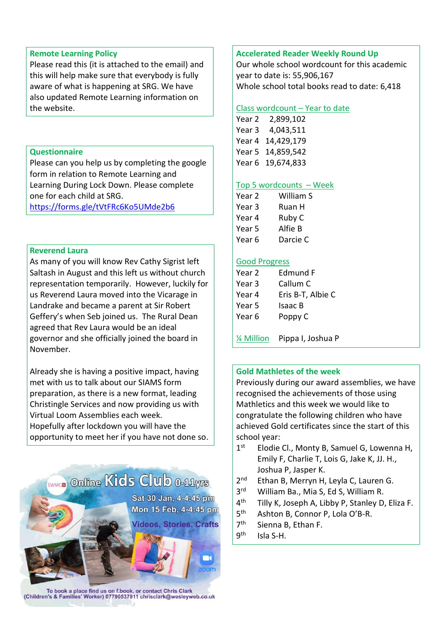#### **Remote Learning Policy**

Please read this (it is attached to the email) and this will help make sure that everybody is fully aware of what is happening at SRG. We have also updated Remote Learning information on the website.

## **Questionnaire**

Please can you help us by completing the google form in relation to Remote Learning and Learning During Lock Down. Please complete one for each child at SRG.

<https://forms.gle/tVtFRc6Ko5UMde2b6>

#### **Reverend Laura**

As many of you will know Rev Cathy Sigrist left Saltash in August and this left us without church representation temporarily. However, luckily for us Reverend Laura moved into the Vicarage in Landrake and became a parent at Sir Robert Geffery's when Seb joined us. The Rural Dean agreed that Rev Laura would be an ideal governor and she officially joined the board in November.

Already she is having a positive impact, having met with us to talk about our SIAMS form preparation, as there is a new format, leading Christingle Services and now providing us with Virtual Loom Assemblies each week. Hopefully after lockdown you will have the opportunity to meet her if you have not done so.



To book a place find us on f.book, or contact Chris Clark<br>(Children's & Families' Worker) 07790537911 chrisclark@wesleyweb.co.uk

## **Accelerated Reader Weekly Round Up**

Our whole school wordcount for this academic year to date is: 55,906,167 Whole school total books read to date: 6,418

#### Class wordcount – Year to date

Year 2 2,899,102 Year 3 4,043,511 Year 4 14,429,179 Year 5 14,859,542 Year 6 19,674,833

#### Top 5 wordcounts – Week

| Year 2 | William S |
|--------|-----------|
| Year 3 | Ruan H    |
| Year 4 | Ruby C    |
| Year 5 | Alfie B   |
| Year 6 | Darcie C  |

#### Good Progress

| Edmund F          |
|-------------------|
| Callum C          |
| Eris B-T, Albie C |
| Isaac B           |
| Poppy C           |
|                   |
|                   |

¼ Million Pippa I, Joshua P

#### **Gold Mathletes of the week**

Previously during our award assemblies, we have recognised the achievements of those using Mathletics and this week we would like to congratulate the following children who have achieved Gold certificates since the start of this school year:

- $1<sup>st</sup>$ Elodie Cl., Monty B, Samuel G, Lowenna H, Emily F, Charlie T, Lois G, Jake K, JJ. H., Joshua P, Jasper K.
- $2<sub>nd</sub>$ Ethan B, Merryn H, Leyla C, Lauren G.
- $3<sup>rd</sup>$ William Ba., Mia S, Ed S, William R.
- $4<sup>th</sup>$ Tilly K, Joseph A, Libby P, Stanley D, Eliza F.
- $5<sup>th</sup>$ Ashton B, Connor P, Lola O'B-R.
- $7<sup>th</sup>$ Sienna B, Ethan F.
- gth Isla S-H.